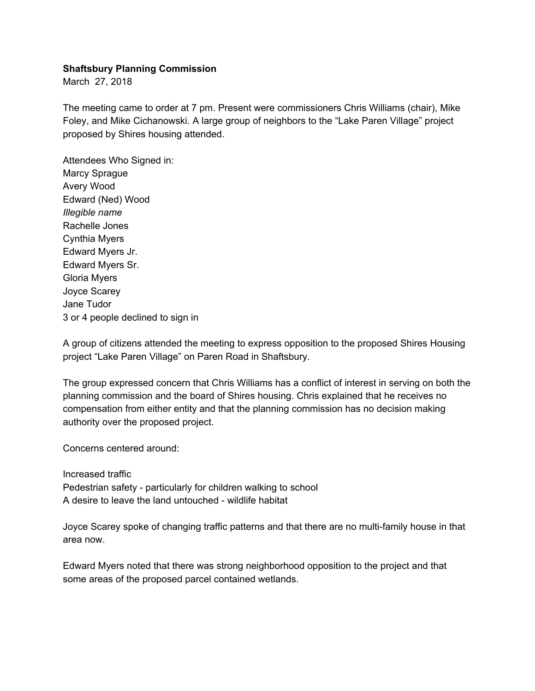## **Shaftsbury Planning Commission**

March 27, 2018

The meeting came to order at 7 pm. Present were commissioners Chris Williams (chair), Mike Foley, and Mike Cichanowski. A large group of neighbors to the "Lake Paren Village" project proposed by Shires housing attended.

Attendees Who Signed in: Marcy Sprague Avery Wood Edward (Ned) Wood *Illegible name* Rachelle Jones Cynthia Myers Edward Myers Jr. Edward Myers Sr. Gloria Myers Joyce Scarey Jane Tudor 3 or 4 people declined to sign in

A group of citizens attended the meeting to express opposition to the proposed Shires Housing project "Lake Paren Village" on Paren Road in Shaftsbury.

The group expressed concern that Chris Williams has a conflict of interest in serving on both the planning commission and the board of Shires housing. Chris explained that he receives no compensation from either entity and that the planning commission has no decision making authority over the proposed project.

Concerns centered around:

Increased traffic

Pedestrian safety - particularly for children walking to school A desire to leave the land untouched - wildlife habitat

Joyce Scarey spoke of changing traffic patterns and that there are no multi-family house in that area now.

Edward Myers noted that there was strong neighborhood opposition to the project and that some areas of the proposed parcel contained wetlands.